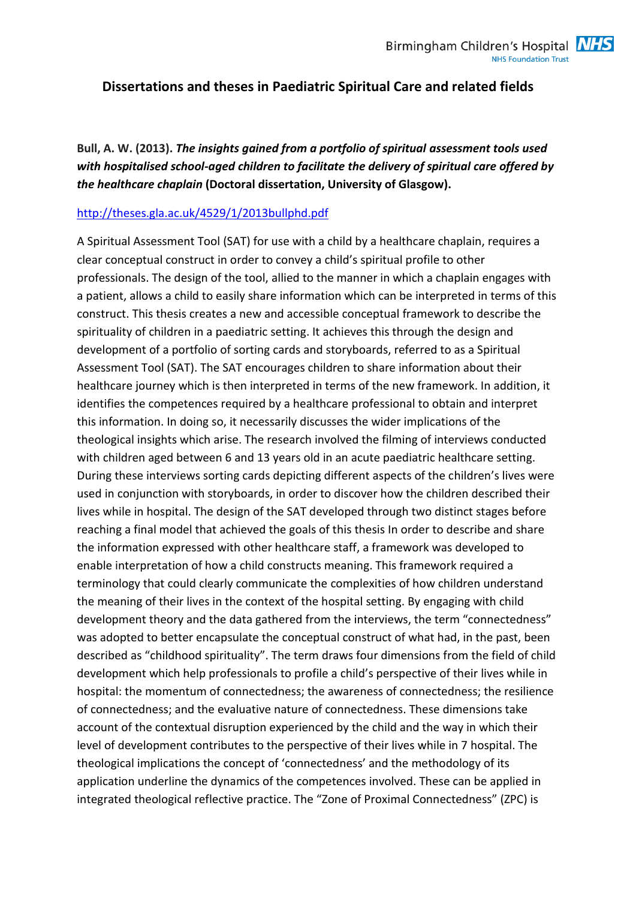### **Dissertations and theses in Paediatric Spiritual Care and related fields**

**Bull, A. W. (2013).** *The insights gained from a portfolio of spiritual assessment tools used with hospitalised school-aged children to facilitate the delivery of spiritual care offered by the healthcare chaplain* **(Doctoral dissertation, University of Glasgow).**

#### <http://theses.gla.ac.uk/4529/1/2013bullphd.pdf>

A Spiritual Assessment Tool (SAT) for use with a child by a healthcare chaplain, requires a clear conceptual construct in order to convey a child's spiritual profile to other professionals. The design of the tool, allied to the manner in which a chaplain engages with a patient, allows a child to easily share information which can be interpreted in terms of this construct. This thesis creates a new and accessible conceptual framework to describe the spirituality of children in a paediatric setting. It achieves this through the design and development of a portfolio of sorting cards and storyboards, referred to as a Spiritual Assessment Tool (SAT). The SAT encourages children to share information about their healthcare journey which is then interpreted in terms of the new framework. In addition, it identifies the competences required by a healthcare professional to obtain and interpret this information. In doing so, it necessarily discusses the wider implications of the theological insights which arise. The research involved the filming of interviews conducted with children aged between 6 and 13 years old in an acute paediatric healthcare setting. During these interviews sorting cards depicting different aspects of the children's lives were used in conjunction with storyboards, in order to discover how the children described their lives while in hospital. The design of the SAT developed through two distinct stages before reaching a final model that achieved the goals of this thesis In order to describe and share the information expressed with other healthcare staff, a framework was developed to enable interpretation of how a child constructs meaning. This framework required a terminology that could clearly communicate the complexities of how children understand the meaning of their lives in the context of the hospital setting. By engaging with child development theory and the data gathered from the interviews, the term "connectedness" was adopted to better encapsulate the conceptual construct of what had, in the past, been described as "childhood spirituality". The term draws four dimensions from the field of child development which help professionals to profile a child's perspective of their lives while in hospital: the momentum of connectedness; the awareness of connectedness; the resilience of connectedness; and the evaluative nature of connectedness. These dimensions take account of the contextual disruption experienced by the child and the way in which their level of development contributes to the perspective of their lives while in 7 hospital. The theological implications the concept of 'connectedness' and the methodology of its application underline the dynamics of the competences involved. These can be applied in integrated theological reflective practice. The "Zone of Proximal Connectedness" (ZPC) is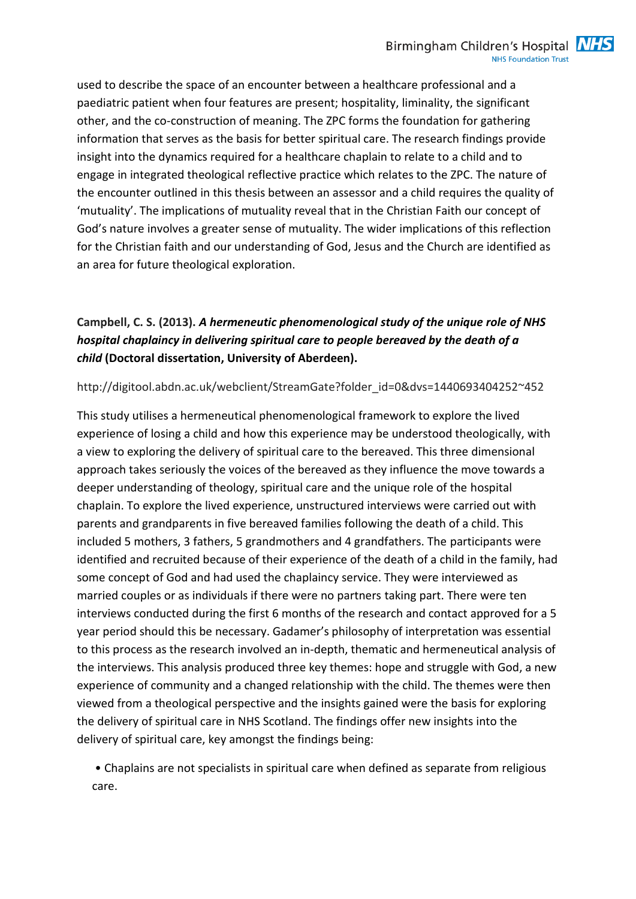used to describe the space of an encounter between a healthcare professional and a paediatric patient when four features are present; hospitality, liminality, the significant other, and the co-construction of meaning. The ZPC forms the foundation for gathering information that serves as the basis for better spiritual care. The research findings provide insight into the dynamics required for a healthcare chaplain to relate to a child and to engage in integrated theological reflective practice which relates to the ZPC. The nature of the encounter outlined in this thesis between an assessor and a child requires the quality of 'mutuality'. The implications of mutuality reveal that in the Christian Faith our concept of God's nature involves a greater sense of mutuality. The wider implications of this reflection for the Christian faith and our understanding of God, Jesus and the Church are identified as an area for future theological exploration.

# **Campbell, C. S. (2013).** *A hermeneutic phenomenological study of the unique role of NHS hospital chaplaincy in delivering spiritual care to people bereaved by the death of a child* **(Doctoral dissertation, University of Aberdeen).**

http://digitool.abdn.ac.uk/webclient/StreamGate?folder\_id=0&dvs=1440693404252~452

This study utilises a hermeneutical phenomenological framework to explore the lived experience of losing a child and how this experience may be understood theologically, with a view to exploring the delivery of spiritual care to the bereaved. This three dimensional approach takes seriously the voices of the bereaved as they influence the move towards a deeper understanding of theology, spiritual care and the unique role of the hospital chaplain. To explore the lived experience, unstructured interviews were carried out with parents and grandparents in five bereaved families following the death of a child. This included 5 mothers, 3 fathers, 5 grandmothers and 4 grandfathers. The participants were identified and recruited because of their experience of the death of a child in the family, had some concept of God and had used the chaplaincy service. They were interviewed as married couples or as individuals if there were no partners taking part. There were ten interviews conducted during the first 6 months of the research and contact approved for a 5 year period should this be necessary. Gadamer's philosophy of interpretation was essential to this process as the research involved an in-depth, thematic and hermeneutical analysis of the interviews. This analysis produced three key themes: hope and struggle with God, a new experience of community and a changed relationship with the child. The themes were then viewed from a theological perspective and the insights gained were the basis for exploring the delivery of spiritual care in NHS Scotland. The findings offer new insights into the delivery of spiritual care, key amongst the findings being:

• Chaplains are not specialists in spiritual care when defined as separate from religious care.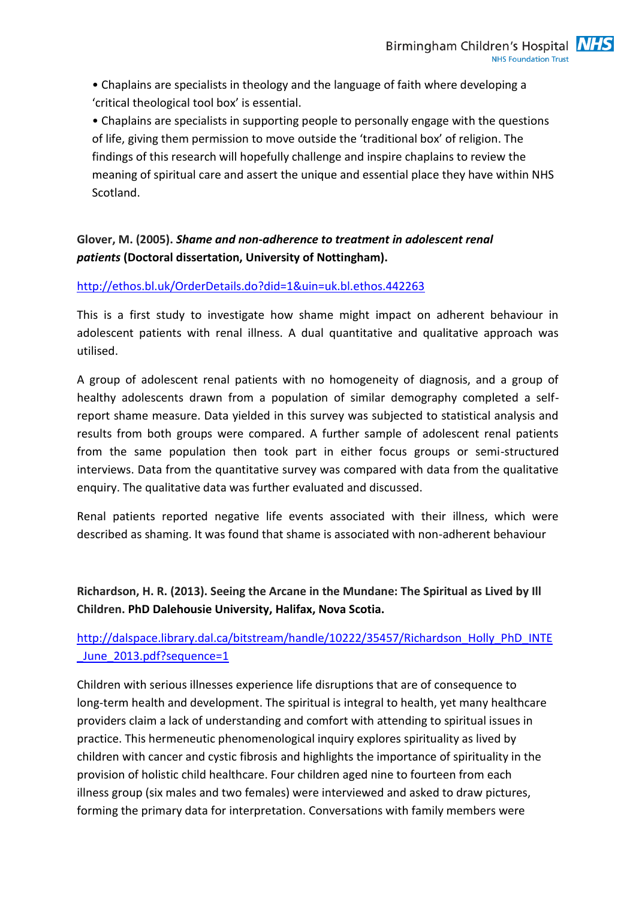• Chaplains are specialists in theology and the language of faith where developing a 'critical theological tool box' is essential.

• Chaplains are specialists in supporting people to personally engage with the questions of life, giving them permission to move outside the 'traditional box' of religion. The findings of this research will hopefully challenge and inspire chaplains to review the meaning of spiritual care and assert the unique and essential place they have within NHS Scotland.

## **Glover, M. (2005).** *Shame and non-adherence to treatment in adolescent renal patients* **(Doctoral dissertation, University of Nottingham).**

#### <http://ethos.bl.uk/OrderDetails.do?did=1&uin=uk.bl.ethos.442263>

This is a first study to investigate how shame might impact on adherent behaviour in adolescent patients with renal illness. A dual quantitative and qualitative approach was utilised.

A group of adolescent renal patients with no homogeneity of diagnosis, and a group of healthy adolescents drawn from a population of similar demography completed a selfreport shame measure. Data yielded in this survey was subjected to statistical analysis and results from both groups were compared. A further sample of adolescent renal patients from the same population then took part in either focus groups or semi-structured interviews. Data from the quantitative survey was compared with data from the qualitative enquiry. The qualitative data was further evaluated and discussed.

Renal patients reported negative life events associated with their illness, which were described as shaming. It was found that shame is associated with non-adherent behaviour

**Richardson, H. R. (2013). Seeing the Arcane in the Mundane: The Spiritual as Lived by Ill Children. PhD Dalehousie University, Halifax, Nova Scotia.**

### [http://dalspace.library.dal.ca/bitstream/handle/10222/35457/Richardson\\_Holly\\_PhD\\_INTE](http://dalspace.library.dal.ca/bitstream/handle/10222/35457/Richardson_Holly_PhD_INTE_June_2013.pdf?sequence=1) June 2013.pdf?sequence=1

Children with serious illnesses experience life disruptions that are of consequence to long-term health and development. The spiritual is integral to health, yet many healthcare providers claim a lack of understanding and comfort with attending to spiritual issues in practice. This hermeneutic phenomenological inquiry explores spirituality as lived by children with cancer and cystic fibrosis and highlights the importance of spirituality in the provision of holistic child healthcare. Four children aged nine to fourteen from each illness group (six males and two females) were interviewed and asked to draw pictures, forming the primary data for interpretation. Conversations with family members were